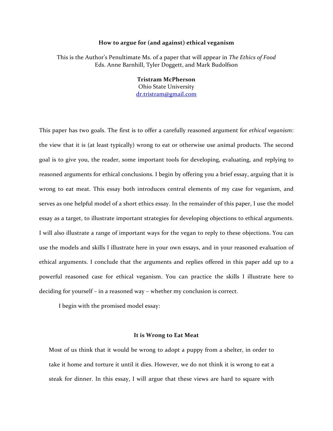## How to argue for (and against) ethical veganism

This is the Author's Penultimate Ms. of a paper that will appear in *The Ethics of Food* Eds. Anne Barnhill, Tyler Doggett, and Mark Budolfson

> **Tristram McPherson Ohio State University** dr.tristram@gmail.com

This paper has two goals. The first is to offer a carefully reasoned argument for *ethical veganism*: the view that it is (at least typically) wrong to eat or otherwise use animal products. The second goal is to give you, the reader, some important tools for developing, evaluating, and replying to reasoned arguments for ethical conclusions. I begin by offering you a brief essay, arguing that it is wrong to eat meat. This essay both introduces central elements of my case for veganism, and serves as one helpful model of a short ethics essay. In the remainder of this paper, I use the model essay as a target, to illustrate important strategies for developing objections to ethical arguments. I will also illustrate a range of important ways for the vegan to reply to these objections. You can use the models and skills I illustrate here in your own essays, and in your reasoned evaluation of ethical arguments. I conclude that the arguments and replies offered in this paper add up to a powerful reasoned case for ethical veganism. You can practice the skills I illustrate here to deciding for yourself – in a reasoned way – whether my conclusion is correct.

I begin with the promised model essay:

## **It is Wrong to Eat Meat**

Most of us think that it would be wrong to adopt a puppy from a shelter, in order to take it home and torture it until it dies. However, we do not think it is wrong to eat a steak for dinner. In this essay, I will argue that these views are hard to square with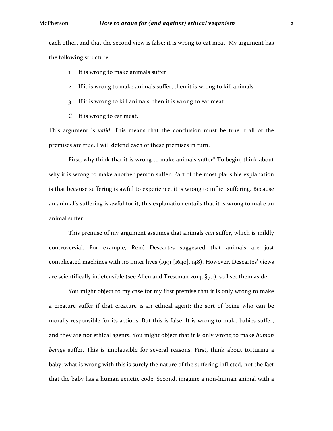each other, and that the second view is false: it is wrong to eat meat. My argument has the following structure:

- 1. It is wrong to make animals suffer
- 2. If it is wrong to make animals suffer, then it is wrong to kill animals
- 3. If it is wrong to kill animals, then it is wrong to eat meat
- C. It is wrong to eat meat.

This argument is *valid*. This means that the conclusion must be true if all of the premises are true. I will defend each of these premises in turn.

First, why think that it is wrong to make animals suffer? To begin, think about why it is wrong to make another person suffer. Part of the most plausible explanation is that because suffering is awful to experience, it is wrong to inflict suffering. Because an animal's suffering is awful for it, this explanation entails that it is wrong to make an animal suffer.

This premise of my argument assumes that animals *can* suffer, which is mildly controversial. For example, René Descartes suggested that animals are just complicated machines with no inner lives  $(1991 \mid 1640]$ ,  $148$ ). However, Descartes' views are scientifically indefensible (see Allen and Trestman 2014,  $\S$ 7.1), so I set them aside.

You might object to my case for my first premise that it is only wrong to make a creature suffer if that creature is an ethical agent: the sort of being who can be morally responsible for its actions. But this is false. It is wrong to make babies suffer, and they are not ethical agents. You might object that it is only wrong to make *human beings* suffer. This is implausible for several reasons. First, think about torturing a baby: what is wrong with this is surely the nature of the suffering inflicted, not the fact that the baby has a human genetic code. Second, imagine a non-human animal with a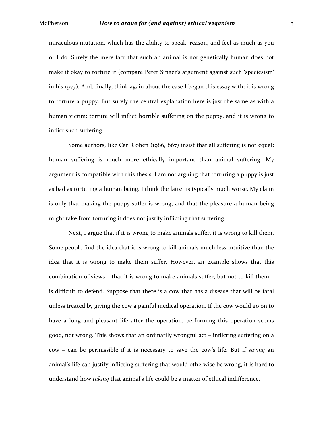miraculous mutation, which has the ability to speak, reason, and feel as much as you or I do. Surely the mere fact that such an animal is not genetically human does not make it okay to torture it (compare Peter Singer's argument against such 'speciesism' in his 1977). And, finally, think again about the case I began this essay with: it is wrong to torture a puppy. But surely the central explanation here is just the same as with a human victim: torture will inflict horrible suffering on the puppy, and it is wrong to inflict such suffering.

Some authors, like Carl Cohen  $(1986, 867)$  insist that all suffering is not equal: human suffering is much more ethically important than animal suffering. My argument is compatible with this thesis. I am not arguing that torturing a puppy is just as bad as torturing a human being. I think the latter is typically much worse. My claim is only that making the puppy suffer is wrong, and that the pleasure a human being might take from torturing it does not justify inflicting that suffering.

Next, I argue that if it is wrong to make animals suffer, it is wrong to kill them. Some people find the idea that it is wrong to kill animals much less intuitive than the idea that it is wrong to make them suffer. However, an example shows that this combination of views – that it is wrong to make animals suffer, but not to kill them – is difficult to defend. Suppose that there is a cow that has a disease that will be fatal unless treated by giving the cow a painful medical operation. If the cow would go on to have a long and pleasant life after the operation, performing this operation seems good, not wrong. This shows that an ordinarily wrongful act - inflicting suffering on a cow – can be permissible if it is necessary to save the cow's life. But if *saving* an animal's life can justify inflicting suffering that would otherwise be wrong, it is hard to understand how *taking* that animal's life could be a matter of ethical indifference.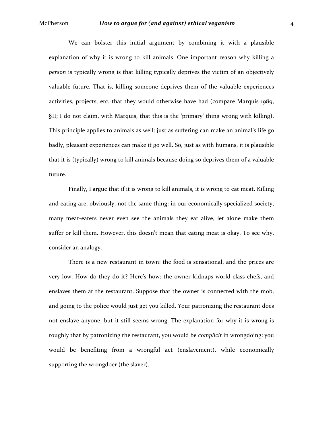We can bolster this initial argument by combining it with a plausible explanation of why it is wrong to kill animals. One important reason why killing a *person* is typically wrong is that killing typically deprives the victim of an objectively valuable future. That is, killing someone deprives them of the valuable experiences activities, projects, etc. that they would otherwise have had (compare Marquis 1989,  $\S II$ ; I do not claim, with Marquis, that this is the 'primary' thing wrong with killing). This principle applies to animals as well: just as suffering can make an animal's life go badly, pleasant experiences can make it go well. So, just as with humans, it is plausible that it is (typically) wrong to kill animals because doing so deprives them of a valuable future. 

Finally, I argue that if it is wrong to kill animals, it is wrong to eat meat. Killing and eating are, obviously, not the same thing: in our economically specialized society, many meat-eaters never even see the animals they eat alive, let alone make them suffer or kill them. However, this doesn't mean that eating meat is okay. To see why, consider an analogy.

There is a new restaurant in town: the food is sensational, and the prices are very low. How do they do it? Here's how: the owner kidnaps world-class chefs, and enslaves them at the restaurant. Suppose that the owner is connected with the mob, and going to the police would just get you killed. Your patronizing the restaurant does not enslave anyone, but it still seems wrong. The explanation for why it is wrong is roughly that by patronizing the restaurant, you would be *complicit* in wrongdoing: you would be benefiting from a wrongful act (enslavement), while economically supporting the wrongdoer (the slaver).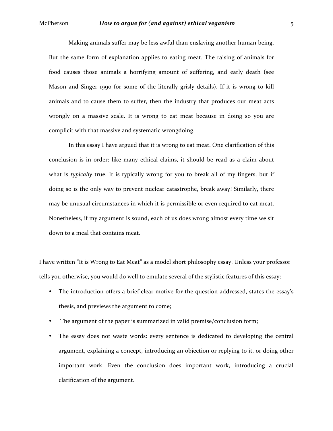Making animals suffer may be less awful than enslaving another human being. But the same form of explanation applies to eating meat. The raising of animals for food causes those animals a horrifying amount of suffering, and early death (see Mason and Singer 1990 for some of the literally grisly details). If it is wrong to kill animals and to cause them to suffer, then the industry that produces our meat acts wrongly on a massive scale. It is wrong to eat meat because in doing so you are complicit with that massive and systematic wrongdoing.

In this essay I have argued that it is wrong to eat meat. One clarification of this conclusion is in order: like many ethical claims, it should be read as a claim about what is *typically* true. It is typically wrong for you to break all of my fingers, but if doing so is the only way to prevent nuclear catastrophe, break away! Similarly, there may be unusual circumstances in which it is permissible or even required to eat meat. Nonetheless, if my argument is sound, each of us does wrong almost every time we sit down to a meal that contains meat.

I have written "It is Wrong to Eat Meat" as a model short philosophy essay. Unless your professor tells you otherwise, you would do well to emulate several of the stylistic features of this essay:

- The introduction offers a brief clear motive for the question addressed, states the essay's thesis, and previews the argument to come;
- The argument of the paper is summarized in valid premise/conclusion form;
- The essay does not waste words: every sentence is dedicated to developing the central argument, explaining a concept, introducing an objection or replying to it, or doing other important work. Even the conclusion does important work, introducing a crucial clarification of the argument.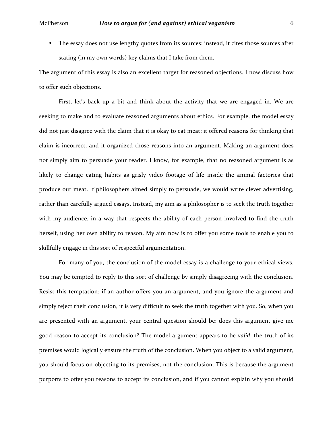• The essay does not use lengthy quotes from its sources: instead, it cites those sources after stating (in my own words) key claims that I take from them.

The argument of this essay is also an excellent target for reasoned objections. I now discuss how to offer such objections.

First, let's back up a bit and think about the activity that we are engaged in. We are seeking to make and to evaluate reasoned arguments about ethics. For example, the model essay did not just disagree with the claim that it is okay to eat meat; it offered reasons for thinking that claim is incorrect, and it organized those reasons into an argument. Making an argument does not simply aim to persuade your reader. I know, for example, that no reasoned argument is as likely to change eating habits as grisly video footage of life inside the animal factories that produce our meat. If philosophers aimed simply to persuade, we would write clever advertising, rather than carefully argued essays. Instead, my aim as a philosopher is to seek the truth together with my audience, in a way that respects the ability of each person involved to find the truth herself, using her own ability to reason. My aim now is to offer you some tools to enable you to skillfully engage in this sort of respectful argumentation.

For many of you, the conclusion of the model essay is a challenge to your ethical views. You may be tempted to reply to this sort of challenge by simply disagreeing with the conclusion. Resist this temptation: if an author offers you an argument, and you ignore the argument and simply reject their conclusion, it is very difficult to seek the truth together with you. So, when you are presented with an argument, your central question should be: does this argument give me good reason to accept its conclusion? The model argument appears to be *valid*: the truth of its premises would logically ensure the truth of the conclusion. When you object to a valid argument, you should focus on objecting to its premises, not the conclusion. This is because the argument purports to offer you reasons to accept its conclusion, and if you cannot explain why you should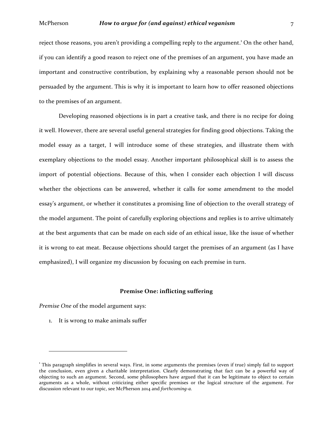reject those reasons, you aren't providing a compelling reply to the argument.<sup>1</sup> On the other hand, if you can identify a good reason to reject one of the premises of an argument, you have made an important and constructive contribution, by explaining why a reasonable person should not be persuaded by the argument. This is why it is important to learn how to offer reasoned objections to the premises of an argument.

Developing reasoned objections is in part a creative task, and there is no recipe for doing it well. However, there are several useful general strategies for finding good objections. Taking the model essay as a target, I will introduce some of these strategies, and illustrate them with exemplary objections to the model essay. Another important philosophical skill is to assess the import of potential objections. Because of this, when I consider each objection I will discuss whether the objections can be answered, whether it calls for some amendment to the model essay's argument, or whether it constitutes a promising line of objection to the overall strategy of the model argument. The point of carefully exploring objections and replies is to arrive ultimately at the best arguments that can be made on each side of an ethical issue, like the issue of whether it is wrong to eat meat. Because objections should target the premises of an argument (as I have emphasized), I will organize my discussion by focusing on each premise in turn.

## **Premise One: inflicting suffering**

*Premise* One of the model argument says:

 

1. It is wrong to make animals suffer

 $1$  This paragraph simplifies in several ways. First, in some arguments the premises (even if true) simply fail to support the conclusion, even given a charitable interpretation. Clearly demonstrating that fact can be a powerful way of objecting to such an argument. Second, some philosophers have argued that it can be legitimate to object to certain arguments as a whole, without criticizing either specific premises or the logical structure of the argument. For discussion relevant to our topic, see McPherson 2014 and *forthcoming-a.*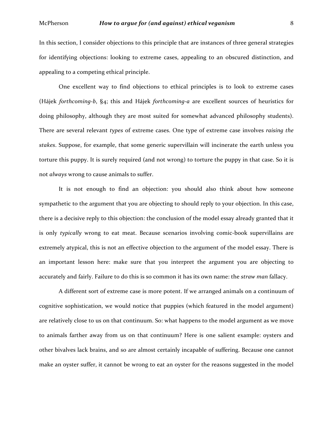# McPherson *How to argue for (and against) ethical veganism* **8**

In this section, I consider objections to this principle that are instances of three general strategies for identifying objections: looking to extreme cases, appealing to an obscured distinction, and appealing to a competing ethical principle.

One excellent way to find objections to ethical principles is to look to extreme cases (Hájek *forthcoming-b*, §4; this and Hájek *forthcoming-a* are excellent sources of heuristics for doing philosophy, although they are most suited for somewhat advanced philosophy students). There are several relevant *types* of extreme cases. One type of extreme case involves *raising the stakes*. Suppose, for example, that some generic supervillain will incinerate the earth unless you torture this puppy. It is surely required (and not wrong) to torture the puppy in that case. So it is not *always* wrong to cause animals to suffer.

It is not enough to find an objection: you should also think about how someone sympathetic to the argument that you are objecting to should reply to your objection. In this case, there is a decisive reply to this objection: the conclusion of the model essay already granted that it is only *typically* wrong to eat meat. Because scenarios involving comic-book supervillains are extremely atypical, this is not an effective objection to the argument of the model essay. There is an important lesson here: make sure that you interpret the argument you are objecting to accurately and fairly. Failure to do this is so common it has its own name: the *straw man* fallacy.

A different sort of extreme case is more potent. If we arranged animals on a continuum of cognitive sophistication, we would notice that puppies (which featured in the model argument) are relatively close to us on that continuum. So: what happens to the model argument as we move to animals farther away from us on that continuum? Here is one salient example: oysters and other bivalves lack brains, and so are almost certainly incapable of suffering. Because one cannot make an oyster suffer, it cannot be wrong to eat an oyster for the reasons suggested in the model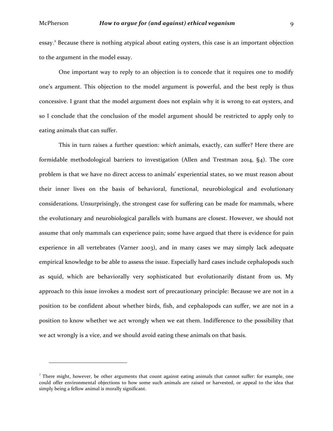essay.<sup>2</sup> Because there is nothing atypical about eating oysters, this case is an important objection to the argument in the model essay.

One important way to reply to an objection is to concede that it requires one to modify one's argument. This objection to the model argument is powerful, and the best reply is thus concessive. I grant that the model argument does not explain why it is wrong to eat oysters, and so I conclude that the conclusion of the model argument should be restricted to apply only to eating animals that can suffer.

This in turn raises a further question: *which* animals, exactly, can suffer? Here there are formidable methodological barriers to investigation (Allen and Trestman 2014, §4). The core problem is that we have no direct access to animals' experiential states, so we must reason about their inner lives on the basis of behavioral, functional, neurobiological and evolutionary considerations. Unsurprisingly, the strongest case for suffering can be made for mammals, where the evolutionary and neurobiological parallels with humans are closest. However, we should not assume that only mammals can experience pain; some have argued that there is evidence for pain experience in all vertebrates (Varner 2003), and in many cases we may simply lack adequate empirical knowledge to be able to assess the issue. Especially hard cases include cephalopods such as squid, which are behaviorally very sophisticated but evolutionarily distant from us. My approach to this issue invokes a modest sort of precautionary principle: Because we are not in a position to be confident about whether birds, fish, and cephalopods can suffer, we are not in a position to know whether we act wrongly when we eat them. Indifference to the possibility that we act wrongly is a vice, and we should avoid eating these animals on that basis.

 

<sup>&</sup>lt;sup>2</sup> There might, however, be other arguments that count against eating animals that cannot suffer: for example, one could offer environmental objections to how some such animals are raised or harvested, or appeal to the idea that simply being a fellow animal is morally significant.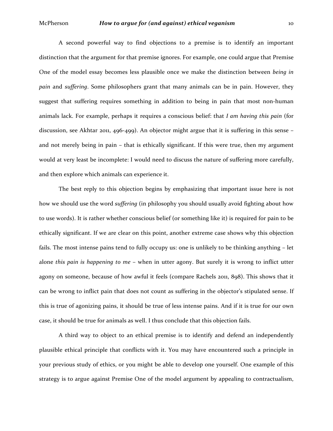A second powerful way to find objections to a premise is to identify an important distinction that the argument for that premise ignores. For example, one could argue that Premise One of the model essay becomes less plausible once we make the distinction between *being* in *pain* and *suffering*. Some philosophers grant that many animals can be in pain. However, they suggest that suffering requires something in addition to being in pain that most non-human animals lack. For example, perhaps it requires a conscious belief: that *I am having this pain* (for discussion, see Akhtar 2011, 496-499). An objector might argue that it is suffering in this sense – and not merely being in pain – that is ethically significant. If this were true, then my argument would at very least be incomplete: I would need to discuss the nature of suffering more carefully, and then explore which animals can experience it.

The best reply to this objection begins by emphasizing that important issue here is not how we should use the word *suffering* (in philosophy you should usually avoid fighting about how to use words). It is rather whether conscious belief (or something like it) is required for pain to be ethically significant. If we are clear on this point, another extreme case shows why this objection fails. The most intense pains tend to fully occupy us: one is unlikely to be thinking anything  $-$  let alone *this pain is happening to me* – when in utter agony. But surely it is wrong to inflict utter agony on someone, because of how awful it feels (compare Rachels 2011, 898). This shows that it can be wrong to inflict pain that does not count as suffering in the objector's stipulated sense. If this is true of agonizing pains, it should be true of less intense pains. And if it is true for our own case, it should be true for animals as well. I thus conclude that this objection fails.

A third way to object to an ethical premise is to identify and defend an independently plausible ethical principle that conflicts with it. You may have encountered such a principle in your previous study of ethics, or you might be able to develop one yourself. One example of this strategy is to argue against Premise One of the model argument by appealing to contractualism,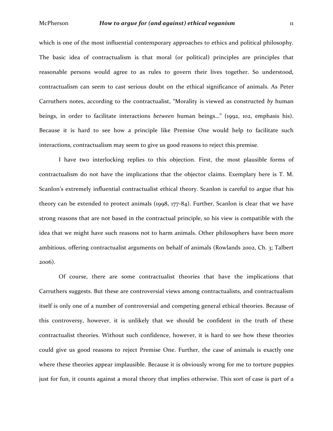which is one of the most influential contemporary approaches to ethics and political philosophy. The basic idea of contractualism is that moral (or political) principles are principles that reasonable persons would agree to as rules to govern their lives together. So understood, contractualism can seem to cast serious doubt on the ethical significance of animals. As Peter Carruthers notes, according to the contractualist, "Morality is viewed as constructed by human beings, in order to facilitate interactions *between* human beings..." (1992, 102, emphasis his). Because it is hard to see how a principle like Premise One would help to facilitate such interactions, contractualism may seem to give us good reasons to reject this premise.

I have two interlocking replies to this objection. First, the most plausible forms of contractualism do not have the implications that the objector claims. Exemplary here is T. M. Scanlon's extremely influential contractualist ethical theory. Scanlon is careful to argue that his theory can be extended to protect animals  $(1998, 177-84)$ . Further, Scanlon is clear that we have strong reasons that are not based in the contractual principle, so his view is compatible with the idea that we might have such reasons not to harm animals. Other philosophers have been more ambitious, offering contractualist arguments on behalf of animals (Rowlands 2002, Ch. 3; Talbert 2006).

Of course, there are some contractualist theories that have the implications that Carruthers suggests. But these are controversial views among contractualists, and contractualism itself is only one of a number of controversial and competing general ethical theories. Because of this controversy, however, it is unlikely that we should be confident in the truth of these contractualist theories. Without such confidence, however, it is hard to see how these theories could give us good reasons to reject Premise One. Further, the case of animals is exactly one where these theories appear implausible. Because it is obviously wrong for me to torture puppies just for fun, it counts against a moral theory that implies otherwise. This sort of case is part of a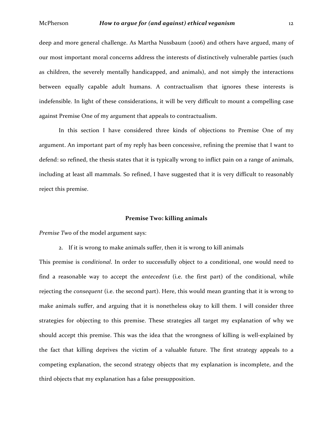deep and more general challenge. As Martha Nussbaum (2006) and others have argued, many of our most important moral concerns address the interests of distinctively vulnerable parties (such as children, the severely mentally handicapped, and animals), and not simply the interactions between equally capable adult humans. A contractualism that ignores these interests is indefensible. In light of these considerations, it will be very difficult to mount a compelling case against Premise One of my argument that appeals to contractualism.

In this section I have considered three kinds of objections to Premise One of my argument. An important part of my reply has been concessive, refining the premise that I want to defend: so refined, the thesis states that it is typically wrong to inflict pain on a range of animals, including at least all mammals. So refined, I have suggested that it is very difficult to reasonably reject this premise.

## **Premise Two: killing animals**

*Premise Two* of the model argument says:

2. If it is wrong to make animals suffer, then it is wrong to kill animals

This premise is *conditional*. In order to successfully object to a conditional, one would need to find a reasonable way to accept the *antecedent* (i.e. the first part) of the conditional, while rejecting the *consequent* (i.e. the second part). Here, this would mean granting that it is wrong to make animals suffer, and arguing that it is nonetheless okay to kill them. I will consider three strategies for objecting to this premise. These strategies all target my explanation of why we should accept this premise. This was the idea that the wrongness of killing is well-explained by the fact that killing deprives the victim of a valuable future. The first strategy appeals to a competing explanation, the second strategy objects that my explanation is incomplete, and the third objects that my explanation has a false presupposition.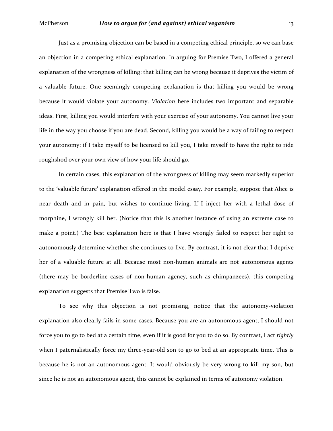Just as a promising objection can be based in a competing ethical principle, so we can base an objection in a competing ethical explanation. In arguing for Premise Two, I offered a general explanation of the wrongness of killing: that killing can be wrong because it deprives the victim of a valuable future. One seemingly competing explanation is that killing you would be wrong because it would violate your autonomy. *Violation* here includes two important and separable ideas. First, killing you would interfere with your exercise of your autonomy. You cannot live your life in the way you choose if you are dead. Second, killing you would be a way of failing to respect your autonomy: if I take myself to be licensed to kill you, I take myself to have the right to ride roughshod over your own view of how your life should go.

In certain cases, this explanation of the wrongness of killing may seem markedly superior to the 'valuable future' explanation offered in the model essay. For example, suppose that Alice is near death and in pain, but wishes to continue living. If I inject her with a lethal dose of morphine, I wrongly kill her. (Notice that this is another instance of using an extreme case to make a point.) The best explanation here is that I have wrongly failed to respect her right to autonomously determine whether she continues to live. By contrast, it is not clear that I deprive her of a valuable future at all. Because most non-human animals are not autonomous agents (there may be borderline cases of non-human agency, such as chimpanzees), this competing explanation suggests that Premise Two is false.

To see why this objection is not promising, notice that the autonomy-violation explanation also clearly fails in some cases. Because you are an autonomous agent, I should not force you to go to bed at a certain time, even if it is good for you to do so. By contrast, I act *rightly* when I paternalistically force my three-year-old son to go to bed at an appropriate time. This is because he is not an autonomous agent. It would obviously be very wrong to kill my son, but since he is not an autonomous agent, this cannot be explained in terms of autonomy violation.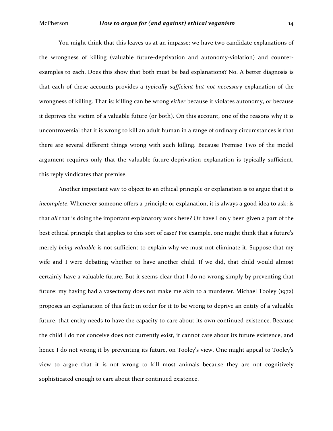You might think that this leaves us at an impasse: we have two candidate explanations of the wrongness of killing (valuable future-deprivation and autonomy-violation) and counterexamples to each. Does this show that both must be bad explanations? No. A better diagnosis is that each of these accounts provides a *typically sufficient but not necessary* explanation of the wrongness of killing. That is: killing can be wrong *either* because it violates autonomy, or because it deprives the victim of a valuable future (or both). On this account, one of the reasons why it is uncontroversial that it is wrong to kill an adult human in a range of ordinary circumstances is that there are several different things wrong with such killing. Because Premise Two of the model argument requires only that the valuable future-deprivation explanation is typically sufficient, this reply vindicates that premise.

Another important way to object to an ethical principle or explanation is to argue that it is *incomplete*. Whenever someone offers a principle or explanation, it is always a good idea to ask: is that *all* that is doing the important explanatory work here? Or have I only been given a part of the best ethical principle that applies to this sort of case? For example, one might think that a future's merely *being valuable* is not sufficient to explain why we must not eliminate it. Suppose that my wife and I were debating whether to have another child. If we did, that child would almost certainly have a valuable future. But it seems clear that I do no wrong simply by preventing that future: my having had a vasectomy does not make me akin to a murderer. Michael Tooley  $(1972)$ proposes an explanation of this fact: in order for it to be wrong to deprive an entity of a valuable future, that entity needs to have the capacity to care about its own continued existence. Because the child I do not conceive does not currently exist, it cannot care about its future existence, and hence I do not wrong it by preventing its future, on Tooley's view. One might appeal to Tooley's view to argue that it is not wrong to kill most animals because they are not cognitively sophisticated enough to care about their continued existence.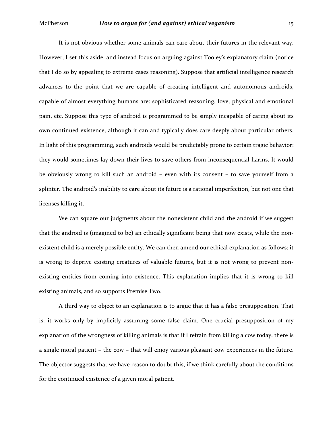It is not obvious whether some animals can care about their futures in the relevant way. However, I set this aside, and instead focus on arguing against Tooley's explanatory claim (notice that I do so by appealing to extreme cases reasoning). Suppose that artificial intelligence research advances to the point that we are capable of creating intelligent and autonomous androids, capable of almost everything humans are: sophisticated reasoning, love, physical and emotional pain, etc. Suppose this type of android is programmed to be simply incapable of caring about its own continued existence, although it can and typically does care deeply about particular others. In light of this programming, such androids would be predictably prone to certain tragic behavior: they would sometimes lay down their lives to save others from inconsequential harms. It would be obviously wrong to kill such an android – even with its consent – to save yourself from a splinter. The android's inability to care about its future is a rational imperfection, but not one that licenses killing it.

We can square our judgments about the nonexistent child and the android if we suggest that the android is (imagined to be) an ethically significant being that now exists, while the nonexistent child is a merely possible entity. We can then amend our ethical explanation as follows: it is wrong to deprive existing creatures of valuable futures, but it is not wrong to prevent nonexisting entities from coming into existence. This explanation implies that it is wrong to kill existing animals, and so supports Premise Two.

A third way to object to an explanation is to argue that it has a false presupposition. That is: it works only by implicitly assuming some false claim. One crucial presupposition of my explanation of the wrongness of killing animals is that if I refrain from killing a cow today, there is a single moral patient – the cow – that will enjoy various pleasant cow experiences in the future. The objector suggests that we have reason to doubt this, if we think carefully about the conditions for the continued existence of a given moral patient.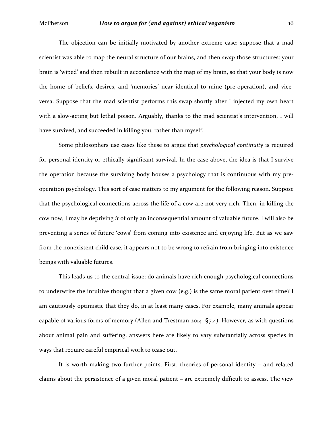The objection can be initially motivated by another extreme case: suppose that a mad scientist was able to map the neural structure of our brains, and then *swap* those structures: your brain is 'wiped' and then rebuilt in accordance with the map of my brain, so that your body is now the home of beliefs, desires, and 'memories' near identical to mine (pre-operation), and viceversa. Suppose that the mad scientist performs this swap shortly after I injected my own heart with a slow-acting but lethal poison. Arguably, thanks to the mad scientist's intervention, I will have survived, and succeeded in killing you, rather than myself.

Some philosophers use cases like these to argue that *psychological continuity* is required for personal identity or ethically significant survival. In the case above, the idea is that I survive the operation because the surviving body houses a psychology that is continuous with my preoperation psychology. This sort of case matters to my argument for the following reason. Suppose that the psychological connections across the life of a cow are not very rich. Then, in killing the cow now, I may be depriving *it* of only an inconsequential amount of valuable future. I will also be preventing a series of future 'cows' from coming into existence and enjoying life. But as we saw from the nonexistent child case, it appears not to be wrong to refrain from bringing into existence beings with valuable futures.

This leads us to the central issue: do animals have rich enough psychological connections to underwrite the intuitive thought that a given cow (e.g.) is the same moral patient over time? I am cautiously optimistic that they do, in at least many cases. For example, many animals appear capable of various forms of memory (Allen and Trestman 2014,  $\S$ 7.4). However, as with questions about animal pain and suffering, answers here are likely to vary substantially across species in ways that require careful empirical work to tease out.

It is worth making two further points. First, theories of personal identity  $-$  and related claims about the persistence of a given moral patient  $-$  are extremely difficult to assess. The view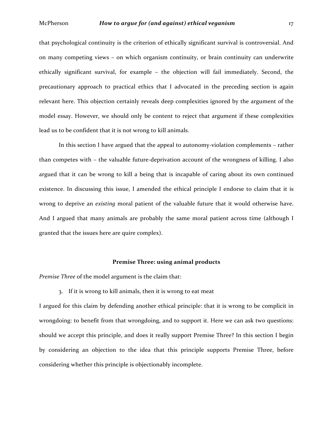that psychological continuity is the criterion of ethically significant survival is controversial. And on many competing views – on which organism continuity, or brain continuity can underwrite ethically significant survival, for example - the objection will fail immediately. Second, the precautionary approach to practical ethics that I advocated in the preceding section is again relevant here. This objection certainly reveals deep complexities ignored by the argument of the model essay. However, we should only be content to reject that argument if these complexities lead us to be confident that it is not wrong to kill animals.

In this section I have argued that the appeal to autonomy-violation complements  $-$  rather than competes with - the valuable future-deprivation account of the wrongness of killing. I also argued that it can be wrong to kill a being that is incapable of caring about its own continued existence. In discussing this issue, I amended the ethical principle I endorse to claim that it is wrong to deprive an *existing* moral patient of the valuable future that it would otherwise have. And I argued that many animals are probably the same moral patient across time (although I granted that the issues here are quire complex).

## **Premise Three: using animal products**

*Premise Three* of the model argument is the claim that:

3. If it is wrong to kill animals, then it is wrong to eat meat

I argued for this claim by defending another ethical principle: that it is wrong to be complicit in wrongdoing: to benefit from that wrongdoing, and to support it. Here we can ask two questions: should we accept this principle, and does it really support Premise Three? In this section I begin by considering an objection to the idea that this principle supports Premise Three, before considering whether this principle is objectionably incomplete.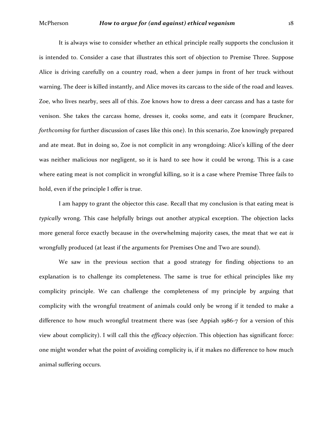It is always wise to consider whether an ethical principle really supports the conclusion it is intended to. Consider a case that illustrates this sort of objection to Premise Three. Suppose Alice is driving carefully on a country road, when a deer jumps in front of her truck without warning. The deer is killed instantly, and Alice moves its carcass to the side of the road and leaves. Zoe, who lives nearby, sees all of this. Zoe knows how to dress a deer carcass and has a taste for venison. She takes the carcass home, dresses it, cooks some, and eats it (compare Bruckner, *forthcoming* for further discussion of cases like this one). In this scenario, Zoe knowingly prepared and ate meat. But in doing so, Zoe is not complicit in any wrongdoing: Alice's killing of the deer was neither malicious nor negligent, so it is hard to see how it could be wrong. This is a case where eating meat is not complicit in wrongful killing, so it is a case where Premise Three fails to hold, even if the principle I offer is true.

I am happy to grant the objector this case. Recall that my conclusion is that eating meat is *typically* wrong. This case helpfully brings out another atypical exception. The objection lacks more general force exactly because in the overwhelming majority cases, the meat that we eat *is* wrongfully produced (at least if the arguments for Premises One and Two are sound).

We saw in the previous section that a good strategy for finding objections to an explanation is to challenge its completeness. The same is true for ethical principles like my complicity principle. We can challenge the completeness of my principle by arguing that complicity with the wrongful treatment of animals could only be wrong if it tended to make a difference to how much wrongful treatment there was (see Appiah 1986-7 for a version of this view about complicity). I will call this the *efficacy objection*. This objection has significant force: one might wonder what the point of avoiding complicity is, if it makes no difference to how much animal suffering occurs.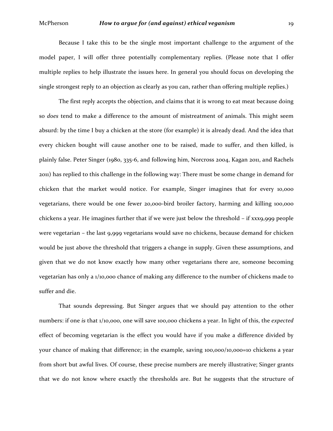Because I take this to be the single most important challenge to the argument of the model paper, I will offer three potentially complementary replies. (Please note that I offer multiple replies to help illustrate the issues here. In general you should focus on developing the single strongest reply to an objection as clearly as you can, rather than offering multiple replies.)

The first reply accepts the objection, and claims that it is wrong to eat meat because doing so *does* tend to make a difference to the amount of mistreatment of animals. This might seem absurd: by the time I buy a chicken at the store (for example) it is already dead. And the idea that every chicken bought will cause another one to be raised, made to suffer, and then killed, is plainly false. Peter Singer (1980, 335-6, and following him, Norcross 2004, Kagan 2011, and Rachels 2011) has replied to this challenge in the following way: There must be some change in demand for chicken that the market would notice. For example, Singer imagines that for every 10,000 vegetarians, there would be one fewer 20,000-bird broiler factory, harming and killing 100,000 chickens a year. He imagines further that if we were just below the threshold  $-$  if xxx9,999 people were vegetarian  $-$  the last  $9,999$  vegetarians would save no chickens, because demand for chicken would be just above the threshold that triggers a change in supply. Given these assumptions, and given that we do not know exactly how many other vegetarians there are, someone becoming vegetarian has only a  $1/10,000$  chance of making any difference to the number of chickens made to suffer and die.

That sounds depressing. But Singer argues that we should pay attention to the other numbers: if one *is* that 1/10,000, one will save 100,000 chickens a year. In light of this, the *expected* effect of becoming vegetarian is the effect you would have if you make a difference divided by your chance of making that difference; in the example, saving 100,000/10,000=10 chickens a year from short but awful lives. Of course, these precise numbers are merely illustrative; Singer grants that we do not know where exactly the thresholds are. But he suggests that the structure of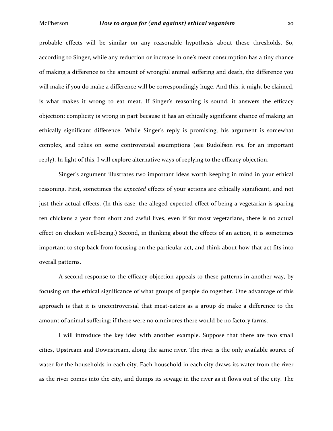probable effects will be similar on any reasonable hypothesis about these thresholds. So, according to Singer, while any reduction or increase in one's meat consumption has a tiny chance of making a difference to the amount of wrongful animal suffering and death, the difference you will make if you do make a difference will be correspondingly huge. And this, it might be claimed, is what makes it wrong to eat meat. If Singer's reasoning is sound, it answers the efficacy objection: complicity is wrong in part because it has an ethically significant chance of making an ethically significant difference. While Singer's reply is promising, his argument is somewhat complex, and relies on some controversial assumptions (see Budolfson *ms.* for an important reply). In light of this, I will explore alternative ways of replying to the efficacy objection.

Singer's argument illustrates two important ideas worth keeping in mind in your ethical reasoning. First, sometimes the *expected* effects of your actions are ethically significant, and not just their actual effects. (In this case, the alleged expected effect of being a vegetarian is sparing ten chickens a year from short and awful lives, even if for most vegetarians, there is no actual effect on chicken well-being.) Second, in thinking about the effects of an action, it is sometimes important to step back from focusing on the particular act, and think about how that act fits into overall patterns.

A second response to the efficacy objection appeals to these patterns in another way, by focusing on the ethical significance of what groups of people do together. One advantage of this approach is that it is uncontroversial that meat-eaters as a group *do* make a difference to the amount of animal suffering: if there were no omnivores there would be no factory farms.

I will introduce the key idea with another example. Suppose that there are two small cities, Upstream and Downstream, along the same river. The river is the only available source of water for the households in each city. Each household in each city draws its water from the river as the river comes into the city, and dumps its sewage in the river as it flows out of the city. The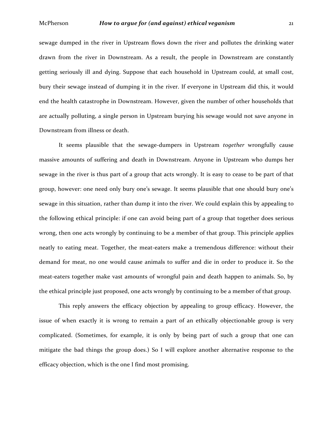sewage dumped in the river in Upstream flows down the river and pollutes the drinking water drawn from the river in Downstream. As a result, the people in Downstream are constantly getting seriously ill and dying. Suppose that each household in Upstream could, at small cost, bury their sewage instead of dumping it in the river. If everyone in Upstream did this, it would end the health catastrophe in Downstream. However, given the number of other households that are actually polluting, a single person in Upstream burying his sewage would not save anyone in Downstream from illness or death.

It seems plausible that the sewage-dumpers in Upstream *together* wrongfully cause massive amounts of suffering and death in Downstream. Anyone in Upstream who dumps her sewage in the river is thus part of a group that acts wrongly. It is easy to cease to be part of that group, however: one need only bury one's sewage. It seems plausible that one should bury one's sewage in this situation, rather than dump it into the river. We could explain this by appealing to the following ethical principle: if one can avoid being part of a group that together does serious wrong, then one acts wrongly by continuing to be a member of that group. This principle applies neatly to eating meat. Together, the meat-eaters make a tremendous difference: without their demand for meat, no one would cause animals to suffer and die in order to produce it. So the meat-eaters together make vast amounts of wrongful pain and death happen to animals. So, by the ethical principle just proposed, one acts wrongly by continuing to be a member of that group.

This reply answers the efficacy objection by appealing to group efficacy. However, the issue of when exactly it is wrong to remain a part of an ethically objectionable group is very complicated. (Sometimes, for example, it is only by being part of such a group that one can mitigate the bad things the group does.) So I will explore another alternative response to the efficacy objection, which is the one I find most promising.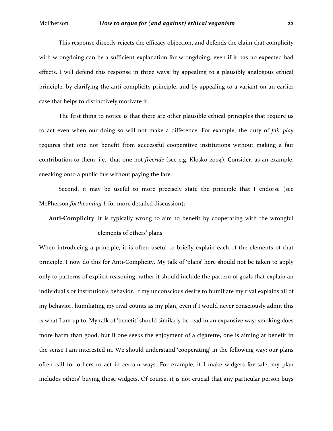This response directly rejects the efficacy objection, and defends the claim that complicity with wrongdoing can be a sufficient explanation for wrongdoing, even if it has no expected bad effects. I will defend this response in three ways: by appealing to a plausibly analogous ethical principle, by clarifying the anti-complicity principle, and by appealing to a variant on an earlier case that helps to distinctively motivate it.

The first thing to notice is that there are other plausible ethical principles that require us to act even when our doing so will not make a difference. For example, the duty of *fair play* requires that one not benefit from successful cooperative institutions without making a fair contribution to them; i.e., that one not *freeride* (see e.g. Klosko 2004). Consider, as an example, sneaking onto a public bus without paying the fare.

Second, it may be useful to more precisely state the principle that I endorse (see McPherson *forthcoming-b* for more detailed discussion):

# **Anti-Complicity** It is typically wrong to aim to benefit by cooperating with the wrongful elements of others' plans

When introducing a principle, it is often useful to briefly explain each of the elements of that principle. I now do this for Anti-Complicity. My talk of 'plans' here should not be taken to apply only to patterns of explicit reasoning; rather it should include the pattern of goals that explain an individual's or institution's behavior. If my unconscious desire to humiliate my rival explains all of my behavior, humiliating my rival counts as my plan, even if I would never consciously admit this is what I am up to. My talk of 'benefit' should similarly be read in an expansive way: smoking does more harm than good, but if one seeks the enjoyment of a cigarette, one is aiming at benefit in the sense I am interested in. We should understand 'cooperating' in the following way: our plans often call for others to act in certain ways. For example, if I make widgets for sale, my plan includes others' buying those widgets. Of course, it is not crucial that any particular person buys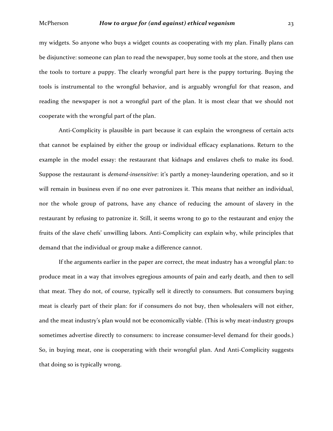my widgets. So anyone who buys a widget counts as cooperating with my plan. Finally plans can be disjunctive: someone can plan to read the newspaper, buy some tools at the store, and then use the tools to torture a puppy. The clearly wrongful part here is the puppy torturing. Buying the tools is instrumental to the wrongful behavior, and is arguably wrongful for that reason, and reading the newspaper is not a wrongful part of the plan. It is most clear that we should not cooperate with the wrongful part of the plan.

Anti-Complicity is plausible in part because it can explain the wrongness of certain acts that cannot be explained by either the group or individual efficacy explanations. Return to the example in the model essay: the restaurant that kidnaps and enslaves chefs to make its food. Suppose the restaurant is *demand-insensitive*: it's partly a money-laundering operation, and so it will remain in business even if no one ever patronizes it. This means that neither an individual, nor the whole group of patrons, have any chance of reducing the amount of slavery in the restaurant by refusing to patronize it. Still, it seems wrong to go to the restaurant and enjoy the fruits of the slave chefs' unwilling labors. Anti-Complicity can explain why, while principles that demand that the individual or group make a difference cannot.

If the arguments earlier in the paper are correct, the meat industry has a wrongful plan: to produce meat in a way that involves egregious amounts of pain and early death, and then to sell that meat. They do not, of course, typically sell it directly to consumers. But consumers buying meat is clearly part of their plan: for if consumers do not buy, then wholesalers will not either, and the meat industry's plan would not be economically viable. (This is why meat-industry groups sometimes advertise directly to consumers: to increase consumer-level demand for their goods.) So, in buying meat, one is cooperating with their wrongful plan. And Anti-Complicity suggests that doing so is typically wrong.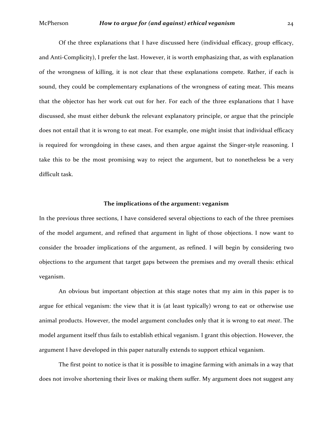Of the three explanations that I have discussed here (individual efficacy, group efficacy, and Anti-Complicity), I prefer the last. However, it is worth emphasizing that, as with explanation of the wrongness of killing, it is not clear that these explanations compete. Rather, if each is sound, they could be complementary explanations of the wrongness of eating meat. This means that the objector has her work cut out for her. For each of the three explanations that I have discussed, she must either debunk the relevant explanatory principle, or argue that the principle does not entail that it is wrong to eat meat. For example, one might insist that individual efficacy is required for wrongdoing in these cases, and then argue against the Singer-style reasoning. I take this to be the most promising way to reject the argument, but to nonetheless be a very difficult task.

## **The implications of the argument: veganism**

In the previous three sections, I have considered several objections to each of the three premises of the model argument, and refined that argument in light of those objections. I now want to consider the broader implications of the argument, as refined. I will begin by considering two objections to the argument that target gaps between the premises and my overall thesis: ethical veganism. 

An obvious but important objection at this stage notes that my aim in this paper is to argue for ethical veganism: the view that it is (at least typically) wrong to eat or otherwise use animal products. However, the model argument concludes only that it is wrong to eat *meat*. The model argument itself thus fails to establish ethical veganism. I grant this objection. However, the argument I have developed in this paper naturally extends to support ethical veganism.

The first point to notice is that it is possible to imagine farming with animals in a way that does not involve shortening their lives or making them suffer. My argument does not suggest any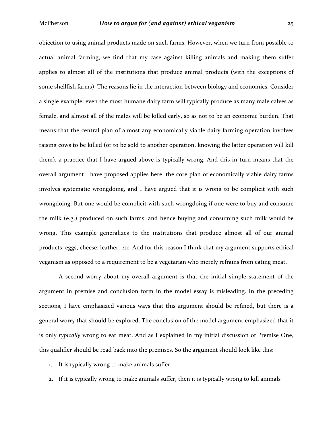objection to using animal products made on such farms. However, when we turn from possible to actual animal farming, we find that my case against killing animals and making them suffer applies to almost all of the institutions that produce animal products (with the exceptions of some shellfish farms). The reasons lie in the interaction between biology and economics. Consider a single example: even the most humane dairy farm will typically produce as many male calves as female, and almost all of the males will be killed early, so as not to be an economic burden. That means that the central plan of almost any economically viable dairy farming operation involves raising cows to be killed (or to be sold to another operation, knowing the latter operation will kill them), a practice that I have argued above is typically wrong. And this in turn means that the overall argument I have proposed applies here: the core plan of economically viable dairy farms involves systematic wrongdoing, and I have argued that it is wrong to be complicit with such wrongdoing. But one would be complicit with such wrongdoing if one were to buy and consume the milk (e.g.) produced on such farms, and hence buying and consuming such milk would be wrong. This example generalizes to the institutions that produce almost all of our animal products: eggs, cheese, leather, etc. And for this reason I think that my argument supports ethical veganism as opposed to a requirement to be a vegetarian who merely refrains from eating meat.

A second worry about my overall argument is that the initial simple statement of the argument in premise and conclusion form in the model essay is misleading. In the preceding sections, I have emphasized various ways that this argument should be refined, but there is a general worry that should be explored. The conclusion of the model argument emphasized that it is only *typically* wrong to eat meat. And as I explained in my initial discussion of Premise One, this qualifier should be read back into the premises. So the argument should look like this:

- 1. It is typically wrong to make animals suffer
- 2. If it is typically wrong to make animals suffer, then it is typically wrong to kill animals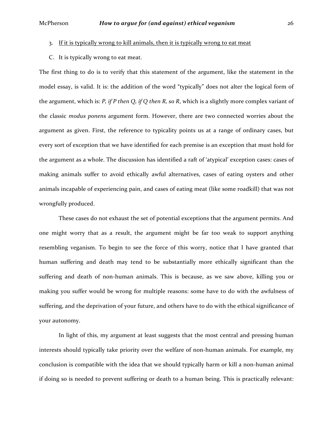## 3. If it is typically wrong to kill animals, then it is typically wrong to eat meat

C. It is typically wrong to eat meat.

The first thing to do is to verify that this statement of the argument, like the statement in the model essay, is valid. It is: the addition of the word "typically" does not alter the logical form of the argument, which is: *P,* if P then Q, if Q then R, so R, which is a slightly more complex variant of the classic *modus* ponens argument form. However, there are two connected worries about the argument as given. First, the reference to typicality points us at a range of ordinary cases, but every sort of exception that we have identified for each premise is an exception that must hold for the argument as a whole. The discussion has identified a raft of 'atypical' exception cases: cases of making animals suffer to avoid ethically awful alternatives, cases of eating oysters and other animals incapable of experiencing pain, and cases of eating meat (like some roadkill) that was not wrongfully produced.

These cases do not exhaust the set of potential exceptions that the argument permits. And one might worry that as a result, the argument might be far too weak to support anything resembling veganism. To begin to see the force of this worry, notice that I have granted that human suffering and death may tend to be substantially more ethically significant than the suffering and death of non-human animals. This is because, as we saw above, killing you or making you suffer would be wrong for multiple reasons: some have to do with the awfulness of suffering, and the deprivation of your future, and others have to do with the ethical significance of your autonomy.

In light of this, my argument at least suggests that the most central and pressing human interests should typically take priority over the welfare of non-human animals. For example, my conclusion is compatible with the idea that we should typically harm or kill a non-human animal if doing so is needed to prevent suffering or death to a human being. This is practically relevant: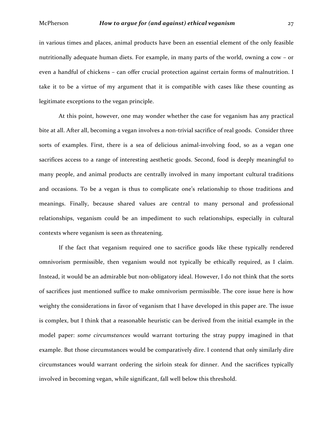in various times and places, animal products have been an essential element of the only feasible nutritionally adequate human diets. For example, in many parts of the world, owning a cow – or even a handful of chickens – can offer crucial protection against certain forms of malnutrition. I take it to be a virtue of my argument that it is compatible with cases like these counting as legitimate exceptions to the vegan principle.

At this point, however, one may wonder whether the case for veganism has any practical bite at all. After all, becoming a vegan involves a non-trivial sacrifice of real goods. Consider three sorts of examples. First, there is a sea of delicious animal-involving food, so as a vegan one sacrifices access to a range of interesting aesthetic goods. Second, food is deeply meaningful to many people, and animal products are centrally involved in many important cultural traditions and occasions. To be a vegan is thus to complicate one's relationship to those traditions and meanings. Finally, because shared values are central to many personal and professional relationships, veganism could be an impediment to such relationships, especially in cultural contexts where veganism is seen as threatening.

If the fact that veganism required one to sacrifice goods like these typically rendered omnivorism permissible, then veganism would not typically be ethically required, as I claim. Instead, it would be an admirable but non-obligatory ideal. However, I do not think that the sorts of sacrifices just mentioned suffice to make omnivorism permissible. The core issue here is how weighty the considerations in favor of veganism that I have developed in this paper are. The issue is complex, but I think that a reasonable heuristic can be derived from the initial example in the model paper: some circumstances would warrant torturing the stray puppy imagined in that example. But those circumstances would be comparatively dire. I contend that only similarly dire circumstances would warrant ordering the sirloin steak for dinner. And the sacrifices typically involved in becoming vegan, while significant, fall well below this threshold.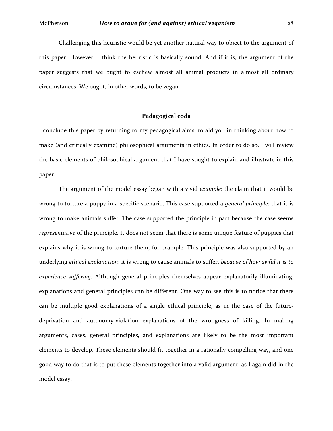Challenging this heuristic would be yet another natural way to object to the argument of this paper. However, I think the heuristic is basically sound. And if it is, the argument of the paper suggests that we ought to eschew almost all animal products in almost all ordinary circumstances. We ought, in other words, to be vegan.

## **Pedagogical coda**

I conclude this paper by returning to my pedagogical aims: to aid you in thinking about how to make (and critically examine) philosophical arguments in ethics. In order to do so, I will review the basic elements of philosophical argument that I have sought to explain and illustrate in this paper. 

The argument of the model essay began with a vivid *example*: the claim that it would be wrong to torture a puppy in a specific scenario. This case supported a *general principle*: that it is wrong to make animals suffer. The case supported the principle in part because the case seems *representative* of the principle. It does not seem that there is some unique feature of puppies that explains why it is wrong to torture them, for example. This principle was also supported by an underlying *ethical explanation*: it is wrong to cause animals to suffer, *because of how awful it is to experience suffering*. Although general principles themselves appear explanatorily illuminating, explanations and general principles can be different. One way to see this is to notice that there can be multiple good explanations of a single ethical principle, as in the case of the futuredeprivation and autonomy-violation explanations of the wrongness of killing. In making arguments, cases, general principles, and explanations are likely to be the most important elements to develop. These elements should fit together in a rationally compelling way, and one good way to do that is to put these elements together into a valid argument, as I again did in the model essay.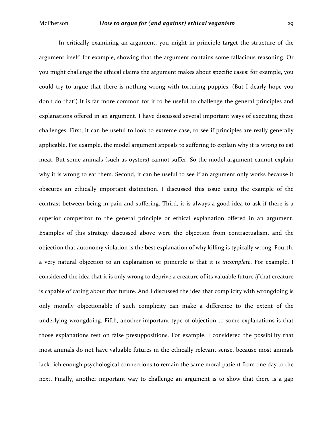In critically examining an argument, you might in principle target the structure of the argument itself: for example, showing that the argument contains some fallacious reasoning. Or you might challenge the ethical claims the argument makes about specific cases: for example, you could try to argue that there is nothing wrong with torturing puppies. (But I dearly hope you don't do that!) It is far more common for it to be useful to challenge the general principles and explanations offered in an argument. I have discussed several important ways of executing these challenges. First, it can be useful to look to extreme case, to see if principles are really generally applicable. For example, the model argument appeals to suffering to explain why it is wrong to eat meat. But some animals (such as oysters) cannot suffer. So the model argument cannot explain why it is wrong to eat them. Second, it can be useful to see if an argument only works because it obscures an ethically important distinction. I discussed this issue using the example of the contrast between being in pain and suffering. Third, it is always a good idea to ask if there is a superior competitor to the general principle or ethical explanation offered in an argument. Examples of this strategy discussed above were the objection from contractualism, and the objection that autonomy violation is the best explanation of why killing is typically wrong. Fourth, a very natural objection to an explanation or principle is that it is *incomplete*. For example, I considered the idea that it is only wrong to deprive a creature of its valuable future *if* that creature is capable of caring about that future. And I discussed the idea that complicity with wrongdoing is only morally objectionable if such complicity can make a difference to the extent of the underlying wrongdoing. Fifth, another important type of objection to some explanations is that those explanations rest on false presuppositions. For example, I considered the possibility that most animals do not have valuable futures in the ethically relevant sense, because most animals lack rich enough psychological connections to remain the same moral patient from one day to the next. Finally, another important way to challenge an argument is to show that there is a gap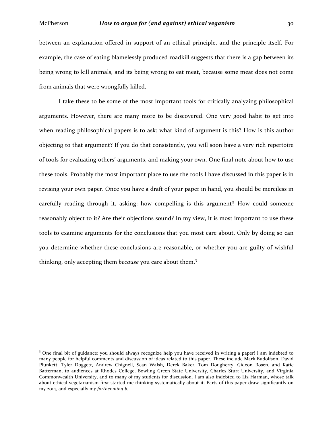between an explanation offered in support of an ethical principle, and the principle itself. For example, the case of eating blamelessly produced roadkill suggests that there is a gap between its being wrong to kill animals, and its being wrong to eat meat, because some meat does not come from animals that were wrongfully killed.

I take these to be some of the most important tools for critically analyzing philosophical arguments. However, there are many more to be discovered. One very good habit to get into when reading philosophical papers is to ask: what kind of argument is this? How is this author objecting to that argument? If you do that consistently, you will soon have a very rich repertoire of tools for evaluating others' arguments, and making your own. One final note about how to use these tools. Probably the most important place to use the tools I have discussed in this paper is in revising your own paper. Once you have a draft of your paper in hand, you should be merciless in carefully reading through it, asking: how compelling is this argument? How could someone reasonably object to it? Are their objections sound? In my view, it is most important to use these tools to examine arguments for the conclusions that you most care about. Only by doing so can you determine whether these conclusions are reasonable, or whether you are guilty of wishful thinking, only accepting them *because* you care about them.<sup>3</sup>

 

 $3$  One final bit of guidance: you should always recognize help you have received in writing a paper! I am indebted to many people for helpful comments and discussion of ideas related to this paper. These include Mark Budolfson, David Plunkett, Tyler Doggett, Andrew Chignell, Sean Walsh, Derek Baker, Tom Dougherty, Gideon Rosen, and Katie Batterman, to audiences at Rhodes College, Bowling Green State University, Charles Sturt University, and Virginia Commonwealth University, and to many of my students for discussion. I am also indebted to Liz Harman, whose talk about ethical vegetarianism first started me thinking systematically about it. Parts of this paper draw significantly on my 2014, and especially my *forthcoming-b.*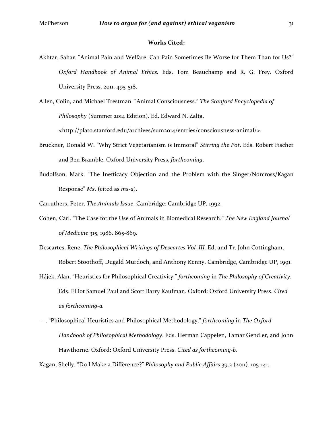## **Works Cited:**

- Akhtar, Sahar. "Animal Pain and Welfare: Can Pain Sometimes Be Worse for Them Than for Us?" *Oxford Handbook of Animal Ethics.*  Eds. Tom Beauchamp and R. G. Frey. Oxford University Press, 2011. 495-518.
- Allen, Colin, and Michael Trestman. "Animal Consciousness." The Stanford Encyclopedia of Philosophy (Summer 2014 Edition). Ed. Edward N. Zalta.

<http://plato.stanford.edu/archives/sum2014/entries/consciousness-animal/>.

- Bruckner, Donald W. "Why Strict Vegetarianism is Immoral" *Stirring the Pot*. Eds. Robert Fischer and Ben Bramble. Oxford University Press, *forthcoming*.
- Budolfson, Mark. "The Inefficacy Objection and the Problem with the Singer/Norcross/Kagan Response" *Ms*. (cited as *ms-a*).

Carruthers, Peter. The Animals Issue. Cambridge: Cambridge UP, 1992.

- Cohen, Carl. "The Case for the Use of Animals in Biomedical Research." The New England Journal *of Medicine* 315, 1986. 865-869.
- Descartes, Rene. *The Philosophical Writings of Descartes Vol. III.* Ed. and Tr. John Cottingham, Robert Stoothoff, Dugald Murdoch, and Anthony Kenny. Cambridge, Cambridge UP, 1991.
- Hájek, Alan. "Heuristics for Philosophical Creativity." *forthcoming* in *The Philosophy of Creativity*. Eds. Elliot Samuel Paul and Scott Barry Kaufman. Oxford: Oxford University Press. *Cited as forthcoming-a.*
- ---. "Philosophical Heuristics and Philosophical Methodology." *forthcoming* in *The Oxford Handbook of Philosophical Methodology*. Eds. Herman Cappelen, Tamar Gendler, and John Hawthorne. Oxford: Oxford University Press. *Cited as forthcoming-b.*

Kagan, Shelly. "Do I Make a Difference?" *Philosophy and Public Affairs* 39.2 (2011). 105-141.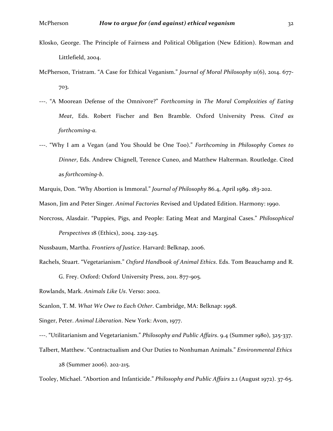- Klosko, George. The Principle of Fairness and Political Obligation (New Edition). Rowman and Littlefield, 2004.
- McPherson, Tristram. "A Case for Ethical Veganism." *Journal of Moral Philosophy* 11(6), 2014. 677-703.
- ---. "A Moorean Defense of the Omnivore?" *Forthcoming* in *The Moral Complexities of Eating Meat*, Eds. Robert Fischer and Ben Bramble. Oxford University Press. Cited as *forthcoming-a.*
- ---. "Why I am a Vegan (and You Should be One Too)." *Forthcoming* in *Philosophy Comes to* Dinner, Eds. Andrew Chignell, Terence Cuneo, and Matthew Halterman. Routledge. Cited as *forthcoming-b*.

Marquis, Don. "Why Abortion is Immoral." *Journal of Philosophy* 86.4, April 1989. 183-202.

Mason, Jim and Peter Singer. *Animal Factories* Revised and Updated Edition. Harmony: 1990.

Norcross, Alasdair. "Puppies, Pigs, and People: Eating Meat and Marginal Cases." *Philosophical Perspectives* 18 (Ethics), 2004. 229-245.

Nussbaum, Martha. Frontiers of Justice. Harvard: Belknap, 2006.

Rachels, Stuart. "Vegetarianism." *Oxford Handbook of Animal Ethics*. Eds. Tom Beauchamp and R.

G. Frey. Oxford: Oxford University Press, 2011. 877-905.

Rowlands, Mark. Animals Like Us. Verso: 2002.

Scanlon, T. M. *What We Owe to Each Other*. Cambridge, MA: Belknap: 1998.

Singer, Peter. *Animal Liberation*. New York: Avon, 1977.

---. "Utilitarianism and Vegetarianism." *Philosophy and Public Affairs*. 9.4 (Summer 1980), 325-337.

Talbert, Matthew. "Contractualism and Our Duties to Nonhuman Animals." *Environmental Ethics* 28 (Summer 2006). 202-215.

Tooley, Michael. "Abortion and Infanticide." *Philosophy and Public Affairs* 2.1 (August 1972). 37-65.